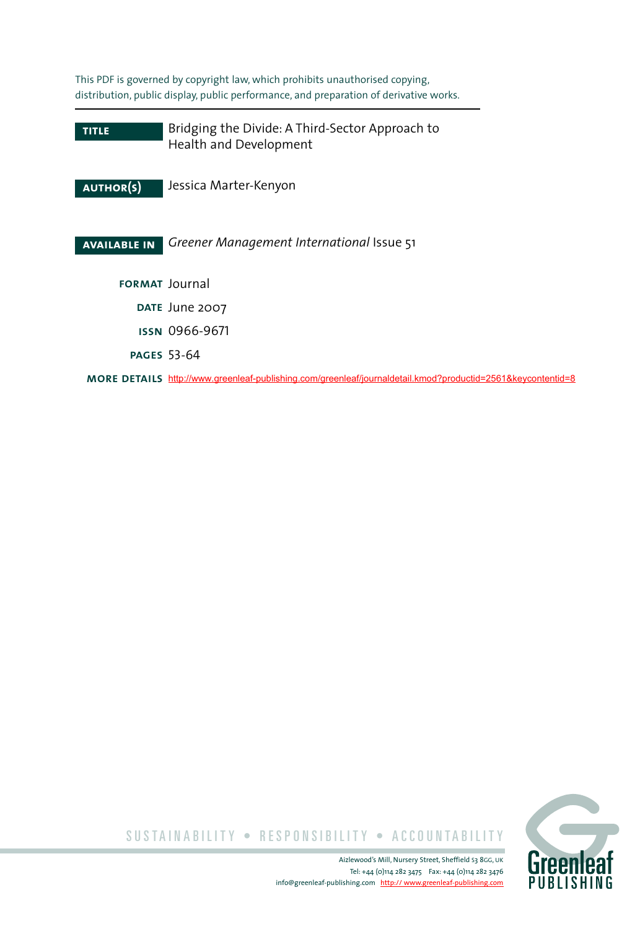This PDF is governed by copyright law, which prohibits unauthorised copying, distribution, public display, public performance, and preparation of derivative works.

**title author(s) available in format** Journal Bridging the Divide: A Third-Sector Approach to Health and Development Jessica Marter-Kenyon *Greener Management International* Issue 51 **date** June 2007 **issn** 0966-9671 **pages** 53-64 **more details** <http://www.greenleaf-publishing.com/greenleaf/journaldetail.kmod?productid=2561&keycontentid=8>



SUSTAINABILITY • RESPONSIBILITY • ACCOUNTABILITY

Aizlewood's Mill, Nursery Street, Sheffield S3 8GG, UK Tel: +44 (0)114 282 3475 Fax: +44 (0)114 282 3476 info@greenleaf-publishing.com [http:// www.greenleaf-publishing.com](http://www.greenleaf-publishing.com)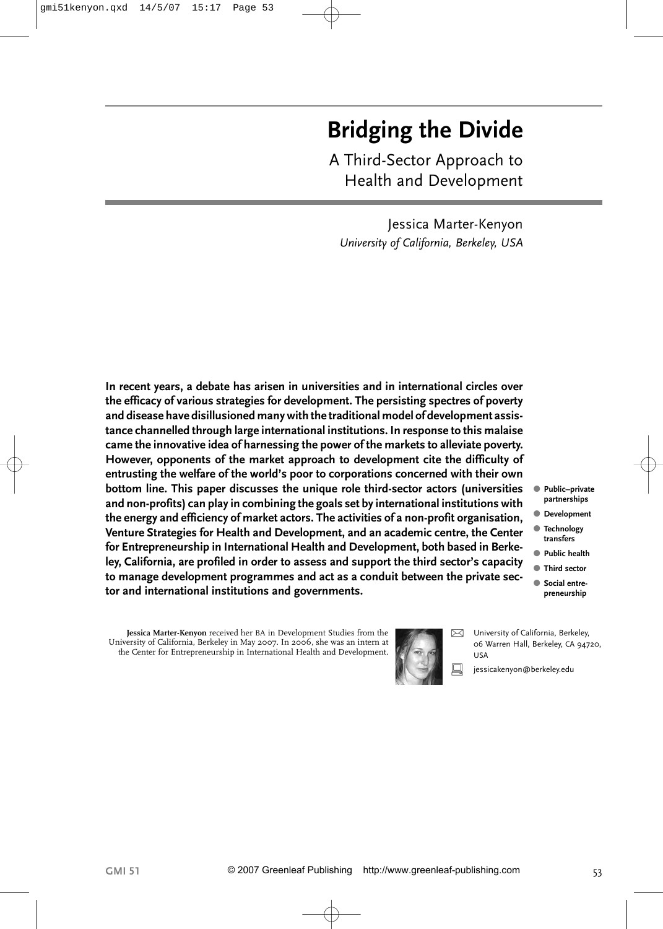# **Bridging the Divide**

A Third-Sector Approach to Health and Development

Jessica Marter-Kenyon *University of California, Berkeley, USA*

**In recent years, a debate has arisen in universities and in international circles over the efficacy of various strategies for development. The persisting spectres of poverty and disease have disillusioned many with the traditional model of development assistance channelled through large international institutions. In response to this malaise came the innovative idea of harnessing the power of the markets to alleviate poverty. However, opponents of the market approach to development cite the difficulty of entrusting the welfare of the world's poor to corporations concerned with their own bottom line. This paper discusses the unique role third-sector actors (universities and non-profits) can play in combining the goals set by international institutions with the energy and efficiency of market actors. The activities of a non-profit organisation, Venture Strategies for Health and Development, and an academic centre, the Center for Entrepreneurship in International Health and Development, both based in Berkeley, California, are profiled in order to assess and support the third sector's capacity to manage development programmes and act as a conduit between the private sector and international institutions and governments.**

- **Public–private partnerships**
- **Development**
- **Technology transfers**
- **Public health**
- **Third sector**
- **Social entrepreneurship**

**Jessica Marter-Kenyon** received her BA in Development Studies from the University of California, Berkeley in May 2007. In 2006, she was an intern at the Center for Entrepreneurship in International Health and Development.



 $\boxtimes$  University of California, Berkeley, 06 Warren Hall, Berkeley, CA 94720, USA

jessicakenyon@berkeley.edu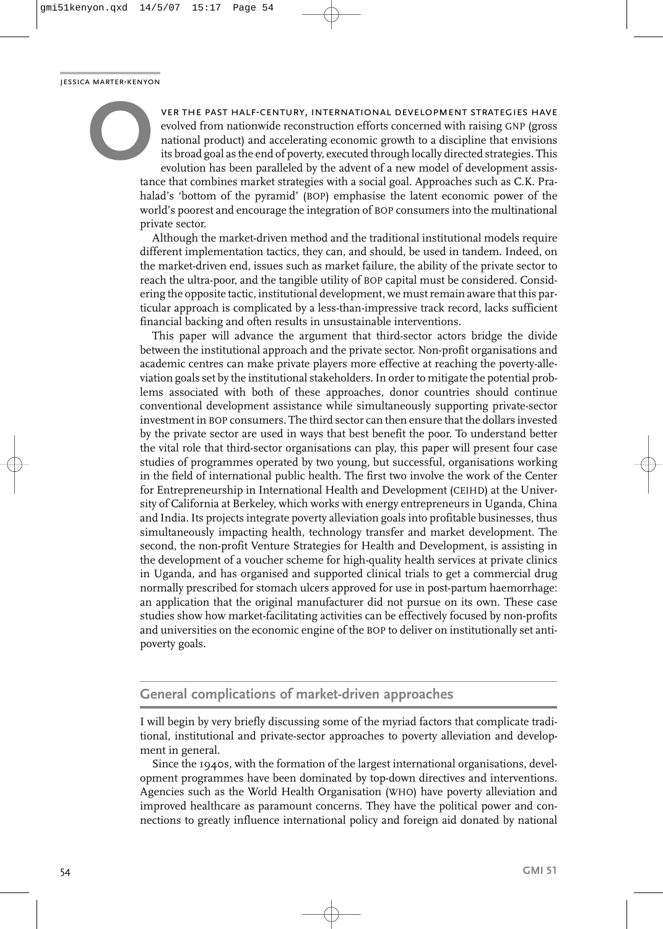ver the past half-century, international development strategies have evolved from nationwide reconstruction efforts concerned with raising GNP (gross national product) and accelerating economic growth to a discipline that envisions its broad goal as the end of poverty, executed through locally directed strategies. This evolution has been paralleled by the advent of a new model of development assistance that combines market strategies with a social goal. Approaches such as C.K. Prahalad's 'bottom of the pyramid' (BOP) emphasise the latent economic power of the world's poorest and encourage the integration of BOP consumers into the multinational private sector. jessica marter-kenyon **O**

> Although the market-driven method and the traditional institutional models require different implementation tactics, they can, and should, be used in tandem. Indeed, on the market-driven end, issues such as market failure, the ability of the private sector to reach the ultra-poor, and the tangible utility of BOP capital must be considered. Considering the opposite tactic, institutional development, we must remain aware that this particular approach is complicated by a less-than-impressive track record, lacks sufficient financial backing and often results in unsustainable interventions.

> This paper will advance the argument that third-sector actors bridge the divide between the institutional approach and the private sector. Non-profit organisations and academic centres can make private players more effective at reaching the poverty-alleviation goals set by the institutional stakeholders. In order to mitigate the potential problems associated with both of these approaches, donor countries should continue conventional development assistance while simultaneously supporting private-sector investment in BOP consumers. The third sector can then ensure that the dollars invested by the private sector are used in ways that best benefit the poor. To understand better the vital role that third-sector organisations can play, this paper will present four case studies of programmes operated by two young, but successful, organisations working in the field of international public health. The first two involve the work of the Center for Entrepreneurship in International Health and Development (CEIHD) at the University of California at Berkeley, which works with energy entrepreneurs in Uganda, China and India. Its projects integrate poverty alleviation goals into profitable businesses, thus simultaneously impacting health, technology transfer and market development. The second, the non-profit Venture Strategies for Health and Development, is assisting in the development of a voucher scheme for high-quality health services at private clinics in Uganda, and has organised and supported clinical trials to get a commercial drug normally prescribed for stomach ulcers approved for use in post-partum haemorrhage: an application that the original manufacturer did not pursue on its own. These case studies show how market-facilitating activities can be effectively focused by non-profits and universities on the economic engine of the BOP to deliver on institutionally set antipoverty goals.

## **General complications of market-driven approaches**

I will begin by very briefly discussing some of the myriad factors that complicate traditional, institutional and private-sector approaches to poverty alleviation and development in general.

Since the 1940s, with the formation of the largest international organisations, development programmes have been dominated by top-down directives and interventions. Agencies such as the World Health Organisation (WHO) have poverty alleviation and improved healthcare as paramount concerns. They have the political power and connections to greatly influence international policy and foreign aid donated by national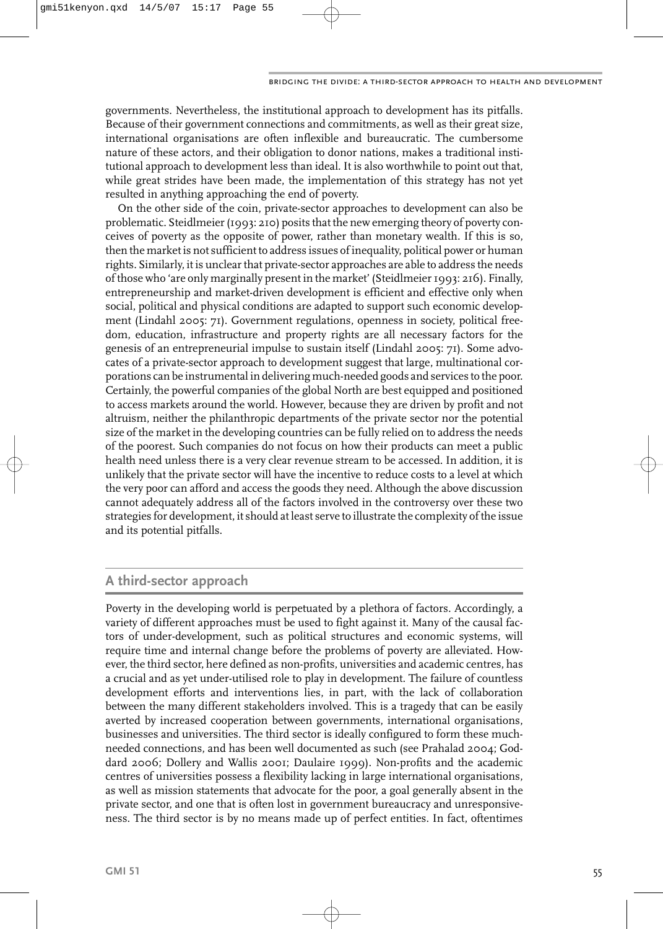governments. Nevertheless, the institutional approach to development has its pitfalls. Because of their government connections and commitments, as well as their great size, international organisations are often inflexible and bureaucratic. The cumbersome nature of these actors, and their obligation to donor nations, makes a traditional institutional approach to development less than ideal. It is also worthwhile to point out that, while great strides have been made, the implementation of this strategy has not yet resulted in anything approaching the end of poverty.

On the other side of the coin, private-sector approaches to development can also be problematic. Steidlmeier (1993: 210) posits that the new emerging theory of poverty conceives of poverty as the opposite of power, rather than monetary wealth. If this is so, then the market is not sufficient to address issues of inequality, political power or human rights. Similarly, it is unclear that private-sector approaches are able to address the needs of those who 'are only marginally present in the market' (Steidlmeier 1993: 216). Finally, entrepreneurship and market-driven development is efficient and effective only when social, political and physical conditions are adapted to support such economic development (Lindahl 2005: 71). Government regulations, openness in society, political freedom, education, infrastructure and property rights are all necessary factors for the genesis of an entrepreneurial impulse to sustain itself (Lindahl 2005: 71). Some advocates of a private-sector approach to development suggest that large, multinational corporations can be instrumental in delivering much-needed goods and services to the poor. Certainly, the powerful companies of the global North are best equipped and positioned to access markets around the world. However, because they are driven by profit and not altruism, neither the philanthropic departments of the private sector nor the potential size of the market in the developing countries can be fully relied on to address the needs of the poorest. Such companies do not focus on how their products can meet a public health need unless there is a very clear revenue stream to be accessed. In addition, it is unlikely that the private sector will have the incentive to reduce costs to a level at which the very poor can afford and access the goods they need. Although the above discussion cannot adequately address all of the factors involved in the controversy over these two strategies for development, it should at least serve to illustrate the complexity of the issue and its potential pitfalls.

## **A third-sector approach**

Poverty in the developing world is perpetuated by a plethora of factors. Accordingly, a variety of different approaches must be used to fight against it. Many of the causal factors of under-development, such as political structures and economic systems, will require time and internal change before the problems of poverty are alleviated. However, the third sector, here defined as non-profits, universities and academic centres, has a crucial and as yet under-utilised role to play in development. The failure of countless development efforts and interventions lies, in part, with the lack of collaboration between the many different stakeholders involved. This is a tragedy that can be easily averted by increased cooperation between governments, international organisations, businesses and universities. The third sector is ideally configured to form these muchneeded connections, and has been well documented as such (see Prahalad 2004; Goddard 2006; Dollery and Wallis 2001; Daulaire 1999). Non-profits and the academic centres of universities possess a flexibility lacking in large international organisations, as well as mission statements that advocate for the poor, a goal generally absent in the private sector, and one that is often lost in government bureaucracy and unresponsiveness. The third sector is by no means made up of perfect entities. In fact, oftentimes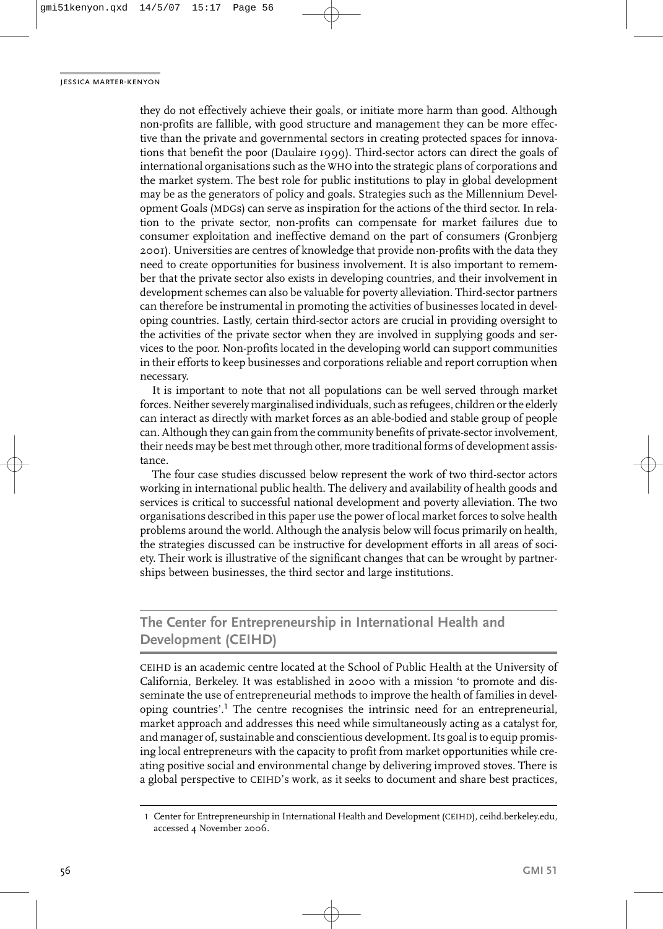they do not effectively achieve their goals, or initiate more harm than good. Although non-profits are fallible, with good structure and management they can be more effective than the private and governmental sectors in creating protected spaces for innovations that benefit the poor (Daulaire 1999). Third-sector actors can direct the goals of international organisations such as the WHO into the strategic plans of corporations and the market system. The best role for public institutions to play in global development may be as the generators of policy and goals. Strategies such as the Millennium Development Goals (MDGs) can serve as inspiration for the actions of the third sector. In relation to the private sector, non-profits can compensate for market failures due to consumer exploitation and ineffective demand on the part of consumers (Gronbjerg 2001). Universities are centres of knowledge that provide non-profits with the data they need to create opportunities for business involvement. It is also important to remember that the private sector also exists in developing countries, and their involvement in development schemes can also be valuable for poverty alleviation. Third-sector partners can therefore be instrumental in promoting the activities of businesses located in developing countries. Lastly, certain third-sector actors are crucial in providing oversight to the activities of the private sector when they are involved in supplying goods and services to the poor. Non-profits located in the developing world can support communities in their efforts to keep businesses and corporations reliable and report corruption when necessary.

It is important to note that not all populations can be well served through market forces. Neither severely marginalised individuals, such as refugees, children or the elderly can interact as directly with market forces as an able-bodied and stable group of people can. Although they can gain from the community benefits of private-sector involvement, their needs may be best met through other, more traditional forms of development assistance.

The four case studies discussed below represent the work of two third-sector actors working in international public health. The delivery and availability of health goods and services is critical to successful national development and poverty alleviation. The two organisations described in this paper use the power of local market forces to solve health problems around the world. Although the analysis below will focus primarily on health, the strategies discussed can be instructive for development efforts in all areas of society. Their work is illustrative of the significant changes that can be wrought by partnerships between businesses, the third sector and large institutions.

## **The Center for Entrepreneurship in International Health and Development (CEIHD)**

CEIHD is an academic centre located at the School of Public Health at the University of California, Berkeley. It was established in 2000 with a mission 'to promote and disseminate the use of entrepreneurial methods to improve the health of families in developing countries'.<sup>1</sup> The centre recognises the intrinsic need for an entrepreneurial, market approach and addresses this need while simultaneously acting as a catalyst for, and manager of, sustainable and conscientious development. Its goal is to equip promising local entrepreneurs with the capacity to profit from market opportunities while creating positive social and environmental change by delivering improved stoves. There is a global perspective to CEIHD's work, as it seeks to document and share best practices,

<sup>1</sup> Center for Entrepreneurship in International Health and Development (CEIHD), ceihd.berkeley.edu, accessed 4 November 2006.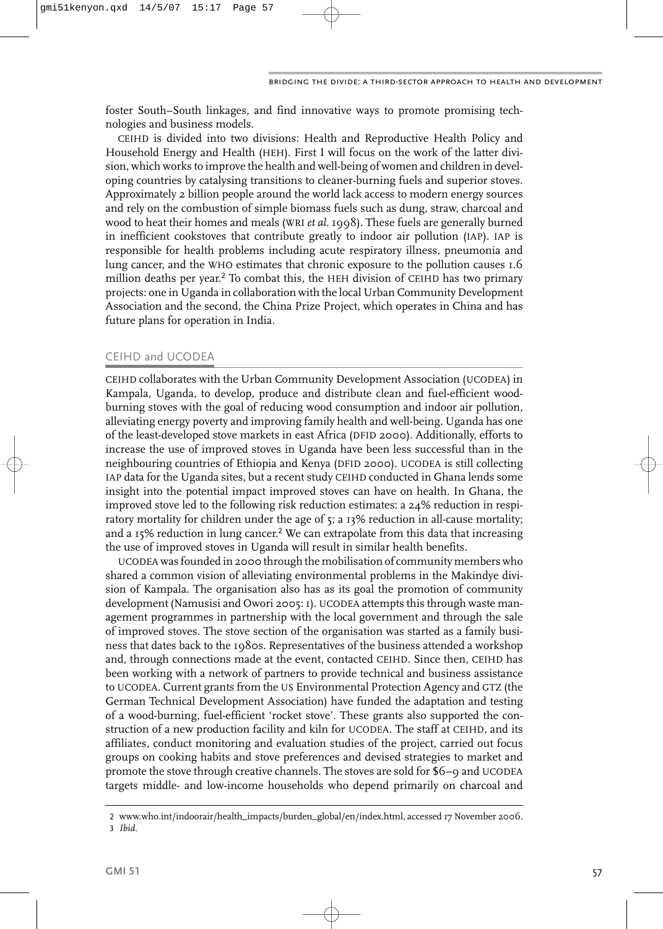foster South–South linkages, and find innovative ways to promote promising technologies and business models.

CEIHD is divided into two divisions: Health and Reproductive Health Policy and Household Energy and Health (HEH). First I will focus on the work of the latter division, which works to improve the health and well-being of women and children in developing countries by catalysing transitions to cleaner-burning fuels and superior stoves. Approximately 2 billion people around the world lack access to modern energy sources and rely on the combustion of simple biomass fuels such as dung, straw, charcoal and wood to heat their homes and meals (WRI *et al.* 1998). These fuels are generally burned in inefficient cookstoves that contribute greatly to indoor air pollution (IAP). IAP is responsible for health problems including acute respiratory illness, pneumonia and lung cancer, and the WHO estimates that chronic exposure to the pollution causes 1.6 million deaths per year.<sup>2</sup> To combat this, the HEH division of CEIHD has two primary projects: one in Uganda in collaboration with the local Urban Community Development Association and the second, the China Prize Project, which operates in China and has future plans for operation in India.

## CEIHD and UCODEA

CEIHD collaborates with the Urban Community Development Association (UCODEA) in Kampala, Uganda, to develop, produce and distribute clean and fuel-efficient woodburning stoves with the goal of reducing wood consumption and indoor air pollution, alleviating energy poverty and improving family health and well-being. Uganda has one of the least-developed stove markets in east Africa (DFID 2000). Additionally, efforts to increase the use of improved stoves in Uganda have been less successful than in the neighbouring countries of Ethiopia and Kenya (DFID 2000). UCODEA is still collecting IAP data for the Uganda sites, but a recent study CEIHD conducted in Ghana lends some insight into the potential impact improved stoves can have on health. In Ghana, the improved stove led to the following risk reduction estimates: a 24% reduction in respiratory mortality for children under the age of 5; a 13% reduction in all-cause mortality; and a  $15\%$  reduction in lung cancer.<sup>2</sup> We can extrapolate from this data that increasing the use of improved stoves in Uganda will result in similar health benefits.

UCODEA was founded in 2000 through the mobilisation of community members who shared a common vision of alleviating environmental problems in the Makindye division of Kampala. The organisation also has as its goal the promotion of community development (Namusisi and Owori 2005: 1). UCODEA attempts this through waste management programmes in partnership with the local government and through the sale of improved stoves. The stove section of the organisation was started as a family business that dates back to the 1980s. Representatives of the business attended a workshop and, through connections made at the event, contacted CEIHD. Since then, CEIHD has been working with a network of partners to provide technical and business assistance to UCODEA. Current grants from the US Environmental Protection Agency and GTZ (the German Technical Development Association) have funded the adaptation and testing of a wood-burning, fuel-efficient 'rocket stove'. These grants also supported the construction of a new production facility and kiln for UCODEA. The staff at CEIHD, and its affiliates, conduct monitoring and evaluation studies of the project, carried out focus groups on cooking habits and stove preferences and devised strategies to market and promote the stove through creative channels. The stoves are sold for \$6–9 and UCODEA targets middle- and low-income households who depend primarily on charcoal and

<sup>2</sup> www.who.int/indoorair/health\_impacts/burden\_global/en/index.html, accessed 17 November 2006. 3 *Ibid.*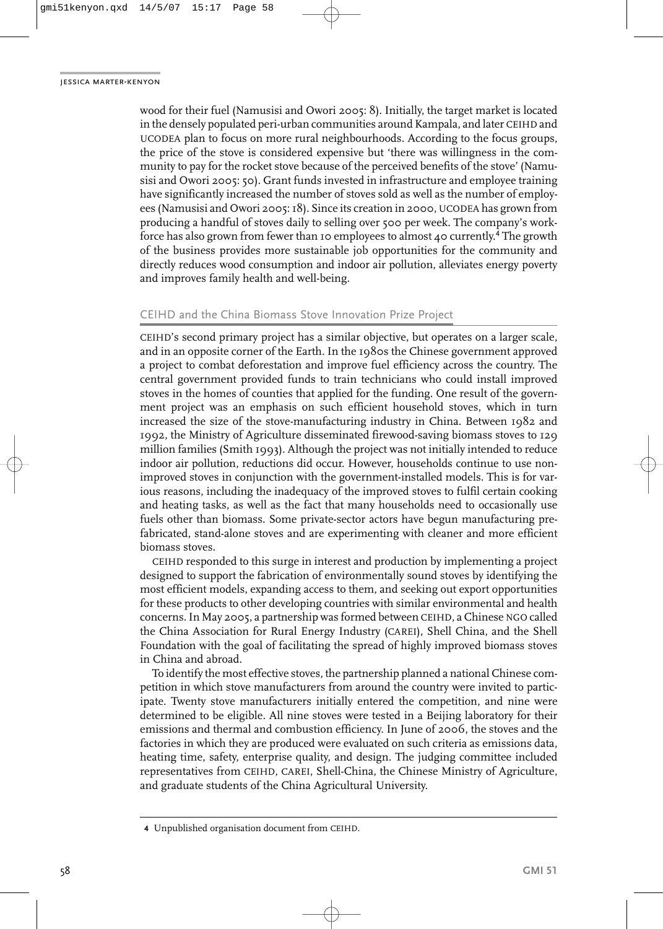wood for their fuel (Namusisi and Owori 2005: 8). Initially, the target market is located in the densely populated peri-urban communities around Kampala, and later CEIHD and UCODEA plan to focus on more rural neighbourhoods. According to the focus groups, the price of the stove is considered expensive but 'there was willingness in the community to pay for the rocket stove because of the perceived benefits of the stove' (Namusisi and Owori 2005: 50). Grant funds invested in infrastructure and employee training have significantly increased the number of stoves sold as well as the number of employees (Namusisi and Owori 2005: 18). Since its creation in 2000, UCODEA has grown from producing a handful of stoves daily to selling over 500 per week. The company's workforce has also grown from fewer than 10 employees to almost 40 currently.<sup>4</sup> The growth of the business provides more sustainable job opportunities for the community and directly reduces wood consumption and indoor air pollution, alleviates energy poverty and improves family health and well-being.

### CEIHD and the China Biomass Stove Innovation Prize Project

CEIHD's second primary project has a similar objective, but operates on a larger scale, and in an opposite corner of the Earth. In the 1980s the Chinese government approved a project to combat deforestation and improve fuel efficiency across the country. The central government provided funds to train technicians who could install improved stoves in the homes of counties that applied for the funding. One result of the government project was an emphasis on such efficient household stoves, which in turn increased the size of the stove-manufacturing industry in China. Between 1982 and 1992, the Ministry of Agriculture disseminated firewood-saving biomass stoves to 129 million families (Smith 1993). Although the project was not initially intended to reduce indoor air pollution, reductions did occur. However, households continue to use nonimproved stoves in conjunction with the government-installed models. This is for various reasons, including the inadequacy of the improved stoves to fulfil certain cooking and heating tasks, as well as the fact that many households need to occasionally use fuels other than biomass. Some private-sector actors have begun manufacturing prefabricated, stand-alone stoves and are experimenting with cleaner and more efficient biomass stoves.

CEIHD responded to this surge in interest and production by implementing a project designed to support the fabrication of environmentally sound stoves by identifying the most efficient models, expanding access to them, and seeking out export opportunities for these products to other developing countries with similar environmental and health concerns. In May 2005, a partnership was formed between CEIHD, a Chinese NGO called the China Association for Rural Energy Industry (CAREI), Shell China, and the Shell Foundation with the goal of facilitating the spread of highly improved biomass stoves in China and abroad.

To identify the most effective stoves, the partnership planned a national Chinese competition in which stove manufacturers from around the country were invited to participate. Twenty stove manufacturers initially entered the competition, and nine were determined to be eligible. All nine stoves were tested in a Beijing laboratory for their emissions and thermal and combustion efficiency. In June of 2006, the stoves and the factories in which they are produced were evaluated on such criteria as emissions data, heating time, safety, enterprise quality, and design. The judging committee included representatives from CEIHD, CAREI, Shell-China, the Chinese Ministry of Agriculture, and graduate students of the China Agricultural University.

**<sup>4</sup>** Unpublished organisation document from CEIHD.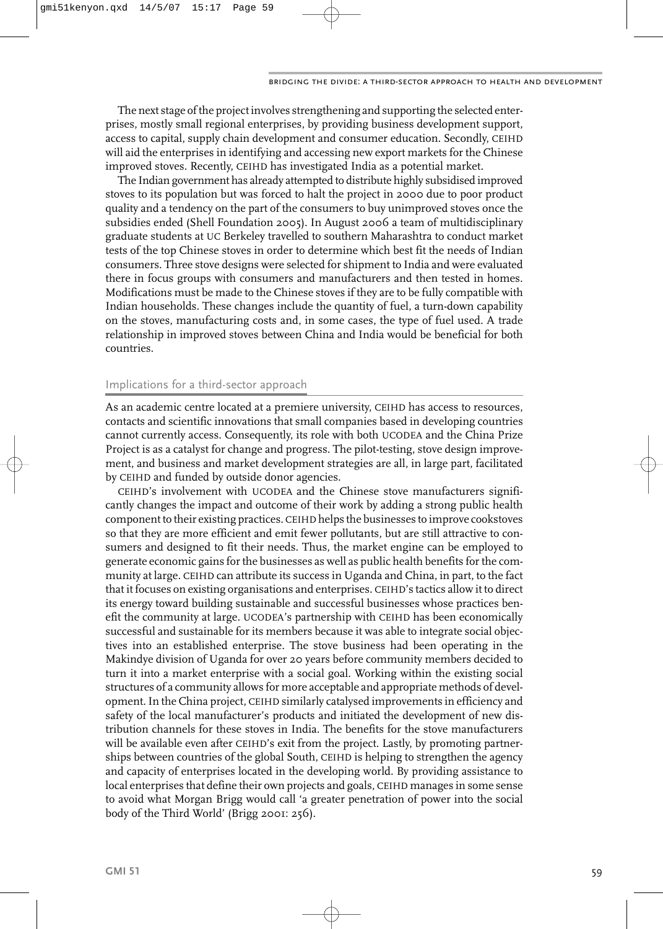The next stage of the project involves strengthening and supporting the selected enterprises, mostly small regional enterprises, by providing business development support, access to capital, supply chain development and consumer education. Secondly, CEIHD will aid the enterprises in identifying and accessing new export markets for the Chinese improved stoves. Recently, CEIHD has investigated India as a potential market.

The Indian government has already attempted to distribute highly subsidised improved stoves to its population but was forced to halt the project in 2000 due to poor product quality and a tendency on the part of the consumers to buy unimproved stoves once the subsidies ended (Shell Foundation 2005). In August 2006 a team of multidisciplinary graduate students at UC Berkeley travelled to southern Maharashtra to conduct market tests of the top Chinese stoves in order to determine which best fit the needs of Indian consumers. Three stove designs were selected for shipment to India and were evaluated there in focus groups with consumers and manufacturers and then tested in homes. Modifications must be made to the Chinese stoves if they are to be fully compatible with Indian households. These changes include the quantity of fuel, a turn-down capability on the stoves, manufacturing costs and, in some cases, the type of fuel used. A trade relationship in improved stoves between China and India would be beneficial for both countries.

### Implications for a third-sector approach

As an academic centre located at a premiere university, CEIHD has access to resources, contacts and scientific innovations that small companies based in developing countries cannot currently access. Consequently, its role with both UCODEA and the China Prize Project is as a catalyst for change and progress. The pilot-testing, stove design improvement, and business and market development strategies are all, in large part, facilitated by CEIHD and funded by outside donor agencies.

CEIHD's involvement with UCODEA and the Chinese stove manufacturers significantly changes the impact and outcome of their work by adding a strong public health component to their existing practices. CEIHD helps the businesses to improve cookstoves so that they are more efficient and emit fewer pollutants, but are still attractive to consumers and designed to fit their needs. Thus, the market engine can be employed to generate economic gains for the businesses as well as public health benefits for the community at large. CEIHD can attribute its success in Uganda and China, in part, to the fact that it focuses on existing organisations and enterprises. CEIHD's tactics allow it to direct its energy toward building sustainable and successful businesses whose practices benefit the community at large. UCODEA's partnership with CEIHD has been economically successful and sustainable for its members because it was able to integrate social objectives into an established enterprise. The stove business had been operating in the Makindye division of Uganda for over 20 years before community members decided to turn it into a market enterprise with a social goal. Working within the existing social structures of a community allows for more acceptable and appropriate methods of development. In the China project, CEIHD similarly catalysed improvements in efficiency and safety of the local manufacturer's products and initiated the development of new distribution channels for these stoves in India. The benefits for the stove manufacturers will be available even after CEIHD's exit from the project. Lastly, by promoting partnerships between countries of the global South, CEIHD is helping to strengthen the agency and capacity of enterprises located in the developing world. By providing assistance to local enterprises that define their own projects and goals, CEIHD manages in some sense to avoid what Morgan Brigg would call 'a greater penetration of power into the social body of the Third World' (Brigg 2001: 256).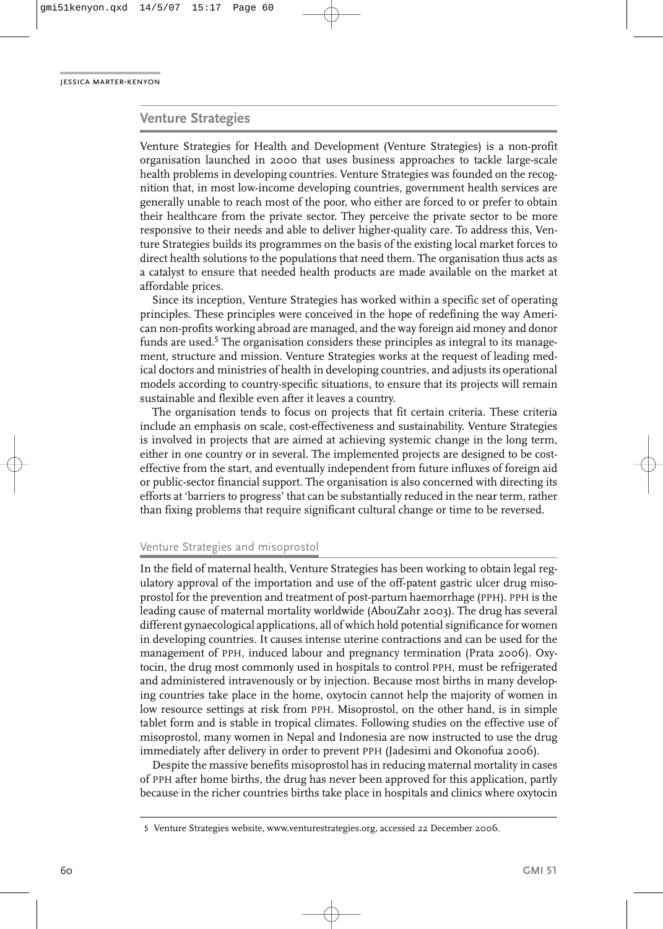#### **Venture Strategies**

Venture Strategies for Health and Development (Venture Strategies) is a non-profit organisation launched in 2000 that uses business approaches to tackle large-scale health problems in developing countries. Venture Strategies was founded on the recognition that, in most low-income developing countries, government health services are generally unable to reach most of the poor, who either are forced to or prefer to obtain their healthcare from the private sector. They perceive the private sector to be more responsive to their needs and able to deliver higher-quality care. To address this, Venture Strategies builds its programmes on the basis of the existing local market forces to direct health solutions to the populations that need them. The organisation thus acts as a catalyst to ensure that needed health products are made available on the market at affordable prices.

Since its inception, Venture Strategies has worked within a specific set of operating principles. These principles were conceived in the hope of redefining the way American non-profits working abroad are managed, and the way foreign aid money and donor funds are used.<sup>5</sup> The organisation considers these principles as integral to its management, structure and mission. Venture Strategies works at the request of leading medical doctors and ministries of health in developing countries, and adjusts its operational models according to country-specific situations, to ensure that its projects will remain sustainable and flexible even after it leaves a country.

The organisation tends to focus on projects that fit certain criteria. These criteria include an emphasis on scale, cost-effectiveness and sustainability. Venture Strategies is involved in projects that are aimed at achieving systemic change in the long term, either in one country or in several. The implemented projects are designed to be costeffective from the start, and eventually independent from future influxes of foreign aid or public-sector financial support. The organisation is also concerned with directing its efforts at 'barriers to progress' that can be substantially reduced in the near term, rather than fixing problems that require significant cultural change or time to be reversed.

#### Venture Strategies and misoprostol

In the field of maternal health, Venture Strategies has been working to obtain legal regulatory approval of the importation and use of the off-patent gastric ulcer drug misoprostol for the prevention and treatment of post-partum haemorrhage (PPH). PPH is the leading cause of maternal mortality worldwide (AbouZahr 2003). The drug has several different gynaecological applications, all of which hold potential significance for women in developing countries. It causes intense uterine contractions and can be used for the management of PPH, induced labour and pregnancy termination (Prata 2006). Oxytocin, the drug most commonly used in hospitals to control PPH, must be refrigerated and administered intravenously or by injection. Because most births in many developing countries take place in the home, oxytocin cannot help the majority of women in low resource settings at risk from PPH. Misoprostol, on the other hand, is in simple tablet form and is stable in tropical climates. Following studies on the effective use of misoprostol, many women in Nepal and Indonesia are now instructed to use the drug immediately after delivery in order to prevent PPH (Jadesimi and Okonofua 2006).

Despite the massive benefits misoprostol has in reducing maternal mortality in cases of PPH after home births, the drug has never been approved for this application, partly because in the richer countries births take place in hospitals and clinics where oxytocin

<sup>5</sup> Venture Strategies website, www.venturestrategies.org, accessed 22 December 2006.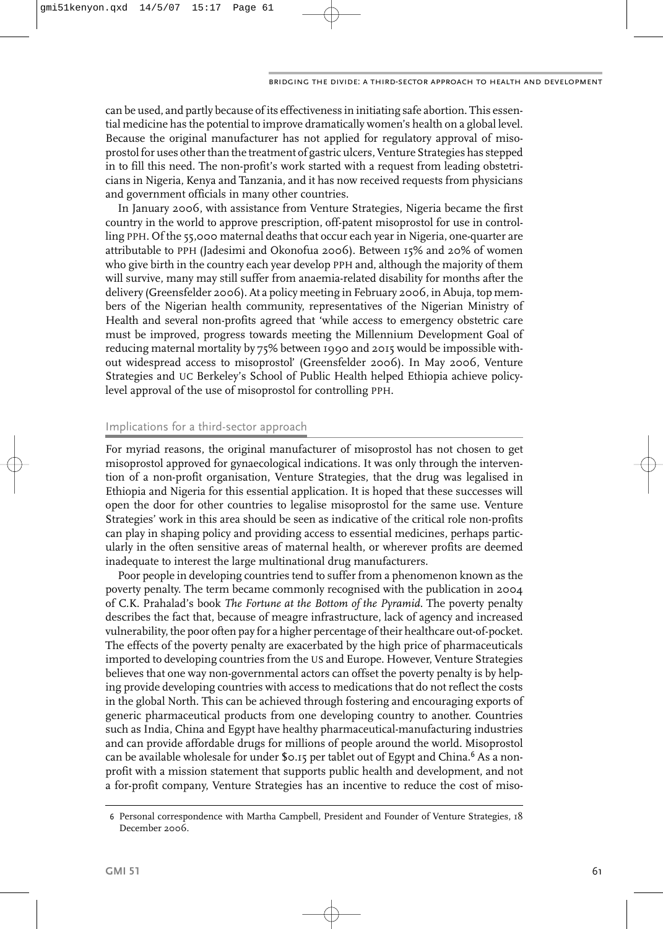can be used, and partly because of its effectiveness in initiating safe abortion. This essential medicine has the potential to improve dramatically women's health on a global level. Because the original manufacturer has not applied for regulatory approval of misoprostol for uses other than the treatment of gastric ulcers, Venture Strategies has stepped in to fill this need. The non-profit's work started with a request from leading obstetricians in Nigeria, Kenya and Tanzania, and it has now received requests from physicians and government officials in many other countries.

In January 2006, with assistance from Venture Strategies, Nigeria became the first country in the world to approve prescription, off-patent misoprostol for use in controlling PPH. Of the 55,000 maternal deaths that occur each year in Nigeria, one-quarter are attributable to PPH (Jadesimi and Okonofua 2006). Between 15% and 20% of women who give birth in the country each year develop PPH and, although the majority of them will survive, many may still suffer from anaemia-related disability for months after the delivery (Greensfelder 2006). At a policy meeting in February 2006, in Abuja, top members of the Nigerian health community, representatives of the Nigerian Ministry of Health and several non-profits agreed that 'while access to emergency obstetric care must be improved, progress towards meeting the Millennium Development Goal of reducing maternal mortality by 75% between 1990 and 2015 would be impossible without widespread access to misoprostol' (Greensfelder 2006). In May 2006, Venture Strategies and UC Berkeley's School of Public Health helped Ethiopia achieve policylevel approval of the use of misoprostol for controlling PPH.

#### Implications for a third-sector approach

For myriad reasons, the original manufacturer of misoprostol has not chosen to get misoprostol approved for gynaecological indications. It was only through the intervention of a non-profit organisation, Venture Strategies, that the drug was legalised in Ethiopia and Nigeria for this essential application. It is hoped that these successes will open the door for other countries to legalise misoprostol for the same use. Venture Strategies' work in this area should be seen as indicative of the critical role non-profits can play in shaping policy and providing access to essential medicines, perhaps particularly in the often sensitive areas of maternal health, or wherever profits are deemed inadequate to interest the large multinational drug manufacturers.

Poor people in developing countries tend to suffer from a phenomenon known as the poverty penalty. The term became commonly recognised with the publication in 2004 of C.K. Prahalad's book *The Fortune at the Bottom of the Pyramid.* The poverty penalty describes the fact that, because of meagre infrastructure, lack of agency and increased vulnerability, the poor often pay for a higher percentage of their healthcare out-of-pocket. The effects of the poverty penalty are exacerbated by the high price of pharmaceuticals imported to developing countries from the US and Europe. However, Venture Strategies believes that one way non-governmental actors can offset the poverty penalty is by helping provide developing countries with access to medications that do not reflect the costs in the global North. This can be achieved through fostering and encouraging exports of generic pharmaceutical products from one developing country to another. Countries such as India, China and Egypt have healthy pharmaceutical-manufacturing industries and can provide affordable drugs for millions of people around the world. Misoprostol can be available wholesale for under \$0.15 per tablet out of Egypt and China.<sup>6</sup> As a nonprofit with a mission statement that supports public health and development, and not a for-profit company, Venture Strategies has an incentive to reduce the cost of miso-

<sup>6</sup> Personal correspondence with Martha Campbell, President and Founder of Venture Strategies, 18 December 2006.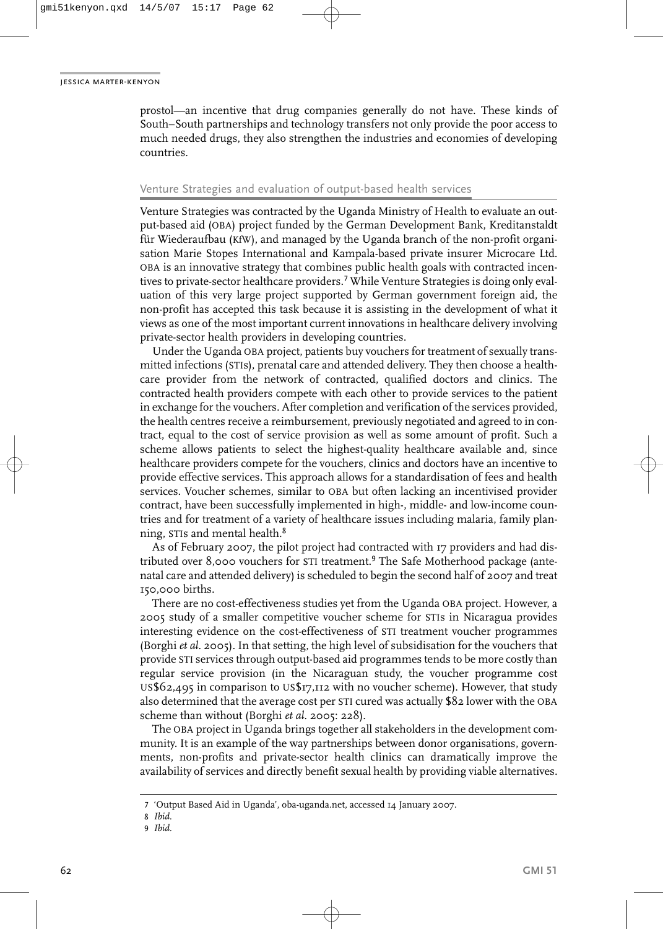prostol—an incentive that drug companies generally do not have. These kinds of South–South partnerships and technology transfers not only provide the poor access to much needed drugs, they also strengthen the industries and economies of developing countries.

#### Venture Strategies and evaluation of output-based health services

Venture Strategies was contracted by the Uganda Ministry of Health to evaluate an output-based aid (OBA) project funded by the German Development Bank, Kreditanstaldt für Wiederaufbau (KfW), and managed by the Uganda branch of the non-profit organisation Marie Stopes International and Kampala-based private insurer Microcare Ltd. OBA is an innovative strategy that combines public health goals with contracted incentives to private-sector healthcare providers.<sup>7</sup> While Venture Strategies is doing only evaluation of this very large project supported by German government foreign aid, the non-profit has accepted this task because it is assisting in the development of what it views as one of the most important current innovations in healthcare delivery involving private-sector health providers in developing countries.

Under the Uganda OBA project, patients buy vouchers for treatment of sexually transmitted infections (STIs), prenatal care and attended delivery. They then choose a healthcare provider from the network of contracted, qualified doctors and clinics. The contracted health providers compete with each other to provide services to the patient in exchange for the vouchers. After completion and verification of the services provided, the health centres receive a reimbursement, previously negotiated and agreed to in contract, equal to the cost of service provision as well as some amount of profit. Such a scheme allows patients to select the highest-quality healthcare available and, since healthcare providers compete for the vouchers, clinics and doctors have an incentive to provide effective services. This approach allows for a standardisation of fees and health services. Voucher schemes, similar to OBA but often lacking an incentivised provider contract, have been successfully implemented in high-, middle- and low-income countries and for treatment of a variety of healthcare issues including malaria, family planning, STIs and mental health.<sup>8</sup>

As of February 2007, the pilot project had contracted with 17 providers and had distributed over 8,000 vouchers for STI treatment.<sup>9</sup> The Safe Motherhood package (antenatal care and attended delivery) is scheduled to begin the second half of 2007 and treat 150,000 births.

There are no cost-effectiveness studies yet from the Uganda OBA project. However, a 2005 study of a smaller competitive voucher scheme for STIs in Nicaragua provides interesting evidence on the cost-effectiveness of STI treatment voucher programmes (Borghi *et al.* 2005). In that setting, the high level of subsidisation for the vouchers that provide STI services through output-based aid programmes tends to be more costly than regular service provision (in the Nicaraguan study, the voucher programme cost US\$62,495 in comparison to US\$17,112 with no voucher scheme). However, that study also determined that the average cost per STI cured was actually \$82 lower with the OBA scheme than without (Borghi *et al.* 2005: 228).

The OBA project in Uganda brings together all stakeholders in the development community. It is an example of the way partnerships between donor organisations, governments, non-profits and private-sector health clinics can dramatically improve the availability of services and directly benefit sexual health by providing viable alternatives.

<sup>7</sup> 'Output Based Aid in Uganda', oba-uganda.net, accessed 14 January 2007.

<sup>8</sup> *Ibid.*

<sup>9</sup> *Ibid.*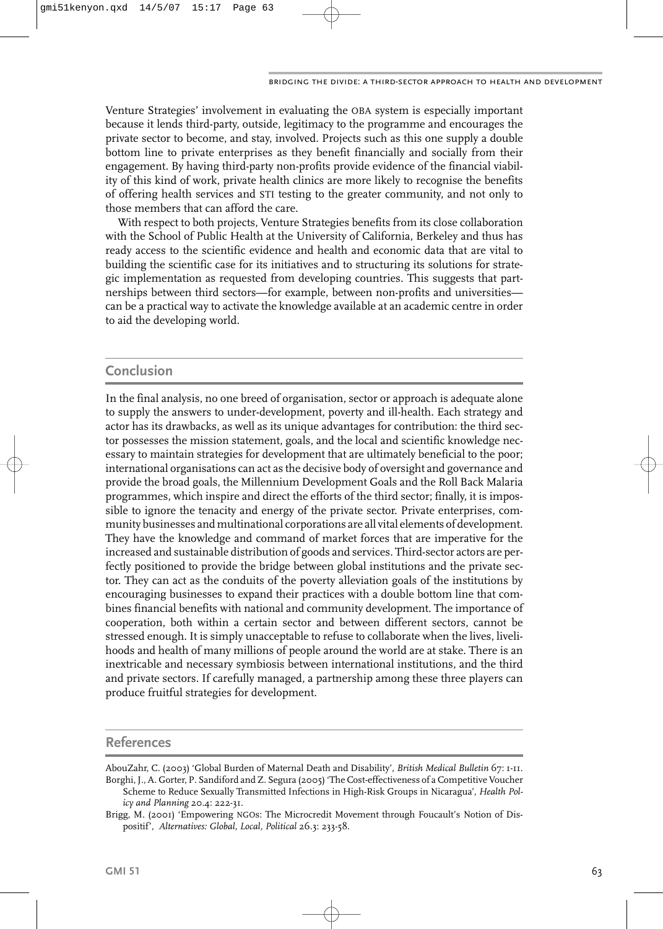Venture Strategies' involvement in evaluating the OBA system is especially important because it lends third-party, outside, legitimacy to the programme and encourages the private sector to become, and stay, involved. Projects such as this one supply a double bottom line to private enterprises as they benefit financially and socially from their engagement. By having third-party non-profits provide evidence of the financial viability of this kind of work, private health clinics are more likely to recognise the benefits of offering health services and STI testing to the greater community, and not only to those members that can afford the care.

With respect to both projects, Venture Strategies benefits from its close collaboration with the School of Public Health at the University of California, Berkeley and thus has ready access to the scientific evidence and health and economic data that are vital to building the scientific case for its initiatives and to structuring its solutions for strategic implementation as requested from developing countries. This suggests that partnerships between third sectors—for example, between non-profits and universities can be a practical way to activate the knowledge available at an academic centre in order to aid the developing world.

## **Conclusion**

In the final analysis, no one breed of organisation, sector or approach is adequate alone to supply the answers to under-development, poverty and ill-health. Each strategy and actor has its drawbacks, as well as its unique advantages for contribution: the third sector possesses the mission statement, goals, and the local and scientific knowledge necessary to maintain strategies for development that are ultimately beneficial to the poor; international organisations can act as the decisive body of oversight and governance and provide the broad goals, the Millennium Development Goals and the Roll Back Malaria programmes, which inspire and direct the efforts of the third sector; finally, it is impossible to ignore the tenacity and energy of the private sector. Private enterprises, community businesses and multinational corporations are all vital elements of development. They have the knowledge and command of market forces that are imperative for the increased and sustainable distribution of goods and services. Third-sector actors are perfectly positioned to provide the bridge between global institutions and the private sector. They can act as the conduits of the poverty alleviation goals of the institutions by encouraging businesses to expand their practices with a double bottom line that combines financial benefits with national and community development. The importance of cooperation, both within a certain sector and between different sectors, cannot be stressed enough. It is simply unacceptable to refuse to collaborate when the lives, livelihoods and health of many millions of people around the world are at stake. There is an inextricable and necessary symbiosis between international institutions, and the third and private sectors. If carefully managed, a partnership among these three players can produce fruitful strategies for development.

## **References**

AbouZahr, C. (2003) 'Global Burden of Maternal Death and Disability', *British Medical Bulletin* 67: 1-11. Borghi, J., A. Gorter, P. Sandiford and Z. Segura (2005) 'The Cost-effectiveness of a Competitive Voucher

Scheme to Reduce Sexually Transmitted Infections in High-Risk Groups in Nicaragua', *Health Policy and Planning* 20.4: 222-31.

Brigg, M. (2001) 'Empowering NGOs: The Microcredit Movement through Foucault's Notion of Dispositif', *Alternatives: Global, Local, Political* 26.3: 233-58.